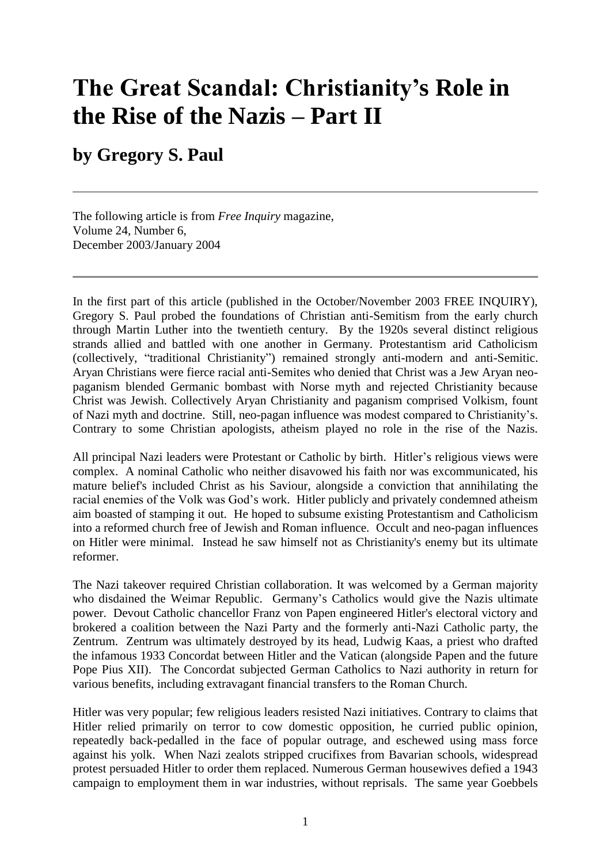# **The Great Scandal: Christianity's Role in the Rise of the Nazis – Part II**

**by Gregory S. Paul**

The following article is from *Free Inquiry* magazine, Volume 24, Number 6, December 2003/January 2004

In the first part of this article (published in the October/November 2003 FREE INQUIRY), Gregory S. Paul probed the foundations of Christian anti-Semitism from the early church through Martin Luther into the twentieth century. By the 1920s several distinct religious strands allied and battled with one another in Germany. Protestantism arid Catholicism (collectively, "traditional Christianity") remained strongly anti-modern and anti-Semitic. Aryan Christians were fierce racial anti-Semites who denied that Christ was a Jew Aryan neopaganism blended Germanic bombast with Norse myth and rejected Christianity because Christ was Jewish. Collectively Aryan Christianity and paganism comprised Volkism, fount of Nazi myth and doctrine. Still, neo-pagan influence was modest compared to Christianity's. Contrary to some Christian apologists, atheism played no role in the rise of the Nazis.

All principal Nazi leaders were Protestant or Catholic by birth. Hitler's religious views were complex. A nominal Catholic who neither disavowed his faith nor was excommunicated, his mature belief's included Christ as his Saviour, alongside a conviction that annihilating the racial enemies of the Volk was God's work. Hitler publicly and privately condemned atheism aim boasted of stamping it out. He hoped to subsume existing Protestantism and Catholicism into a reformed church free of Jewish and Roman influence. Occult and neo-pagan influences on Hitler were minimal. Instead he saw himself not as Christianity's enemy but its ultimate reformer.

The Nazi takeover required Christian collaboration. It was welcomed by a German majority who disdained the Weimar Republic. Germany's Catholics would give the Nazis ultimate power. Devout Catholic chancellor Franz von Papen engineered Hitler's electoral victory and brokered a coalition between the Nazi Party and the formerly anti-Nazi Catholic party, the Zentrum. Zentrum was ultimately destroyed by its head, Ludwig Kaas, a priest who drafted the infamous 1933 Concordat between Hitler and the Vatican (alongside Papen and the future Pope Pius XII). The Concordat subjected German Catholics to Nazi authority in return for various benefits, including extravagant financial transfers to the Roman Church.

Hitler was very popular; few religious leaders resisted Nazi initiatives. Contrary to claims that Hitler relied primarily on terror to cow domestic opposition, he curried public opinion, repeatedly back-pedalled in the face of popular outrage, and eschewed using mass force against his yolk. When Nazi zealots stripped crucifixes from Bavarian schools, widespread protest persuaded Hitler to order them replaced. Numerous German housewives defied a 1943 campaign to employment them in war industries, without reprisals. The same year Goebbels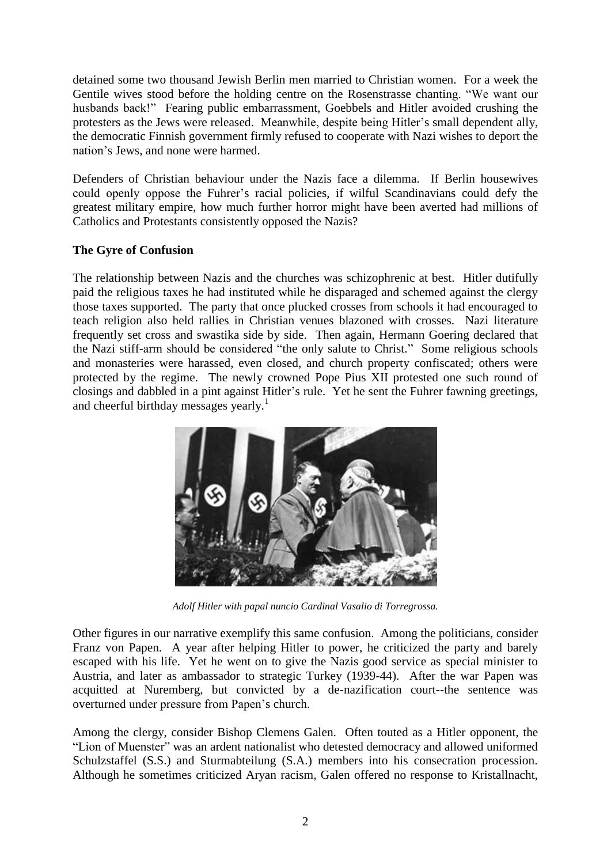detained some two thousand Jewish Berlin men married to Christian women. For a week the Gentile wives stood before the holding centre on the Rosenstrasse chanting. "We want our husbands back!" Fearing public embarrassment, Goebbels and Hitler avoided crushing the protesters as the Jews were released. Meanwhile, despite being Hitler's small dependent ally, the democratic Finnish government firmly refused to cooperate with Nazi wishes to deport the nation's Jews, and none were harmed.

Defenders of Christian behaviour under the Nazis face a dilemma. If Berlin housewives could openly oppose the Fuhrer's racial policies, if wilful Scandinavians could defy the greatest military empire, how much further horror might have been averted had millions of Catholics and Protestants consistently opposed the Nazis?

# **The Gyre of Confusion**

The relationship between Nazis and the churches was schizophrenic at best. Hitler dutifully paid the religious taxes he had instituted while he disparaged and schemed against the clergy those taxes supported. The party that once plucked crosses from schools it had encouraged to teach religion also held rallies in Christian venues blazoned with crosses. Nazi literature frequently set cross and swastika side by side. Then again, Hermann Goering declared that the Nazi stiff-arm should be considered "the only salute to Christ." Some religious schools and monasteries were harassed, even closed, and church property confiscated; others were protected by the regime. The newly crowned Pope Pius XII protested one such round of closings and dabbled in a pint against Hitler's rule. Yet he sent the Fuhrer fawning greetings, and cheerful birthday messages yearly.<sup>1</sup>



*Adolf Hitler with papal nuncio Cardinal Vasalio di Torregrossa.*

Other figures in our narrative exemplify this same confusion. Among the politicians, consider Franz von Papen. A year after helping Hitler to power, he criticized the party and barely escaped with his life. Yet he went on to give the Nazis good service as special minister to Austria, and later as ambassador to strategic Turkey (1939-44). After the war Papen was acquitted at Nuremberg, but convicted by a de-nazification court--the sentence was overturned under pressure from Papen's church.

Among the clergy, consider Bishop Clemens Galen. Often touted as a Hitler opponent, the "Lion of Muenster" was an ardent nationalist who detested democracy and allowed uniformed Schulzstaffel (S.S.) and Sturmabteilung (S.A.) members into his consecration procession. Although he sometimes criticized Aryan racism, Galen offered no response to Kristallnacht,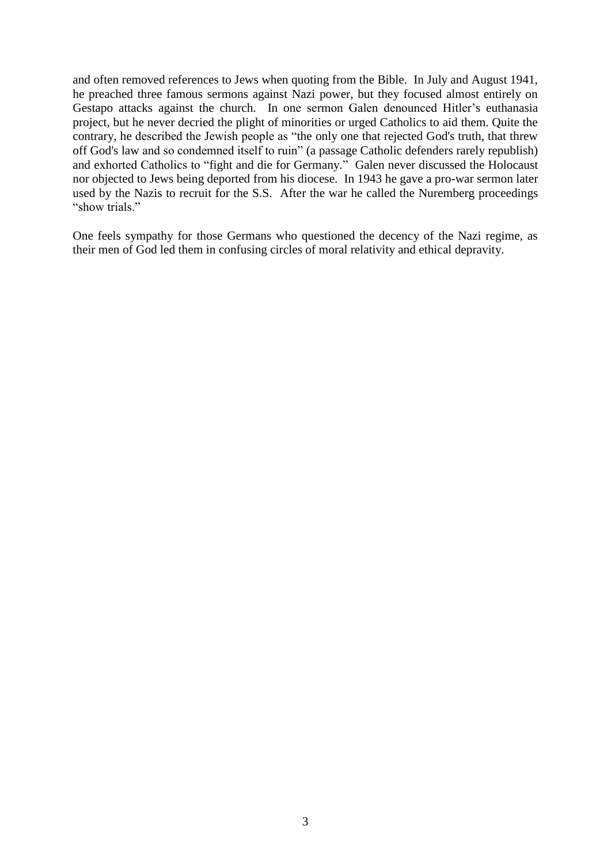and often removed references to Jews when quoting from the Bible. In July and August 1941, he preached three famous sermons against Nazi power, but they focused almost entirely on Gestapo attacks against the church. In one sermon Galen denounced Hitler's euthanasia project, but he never decried the plight of minorities or urged Catholics to aid them. Quite the contrary, he described the Jewish people as "the only one that rejected God's truth, that threw off God's law and so condemned itself to ruin" (a passage Catholic defenders rarely republish) and exhorted Catholics to "fight and die for Germany." Galen never discussed the Holocaust nor objected to Jews being deported from his diocese. In 1943 he gave a pro-war sermon later used by the Nazis to recruit for the S.S. After the war he called the Nuremberg proceedings "show trials."

One feels sympathy for those Germans who questioned the decency of the Nazi regime, as their men of God led them in confusing circles of moral relativity and ethical depravity.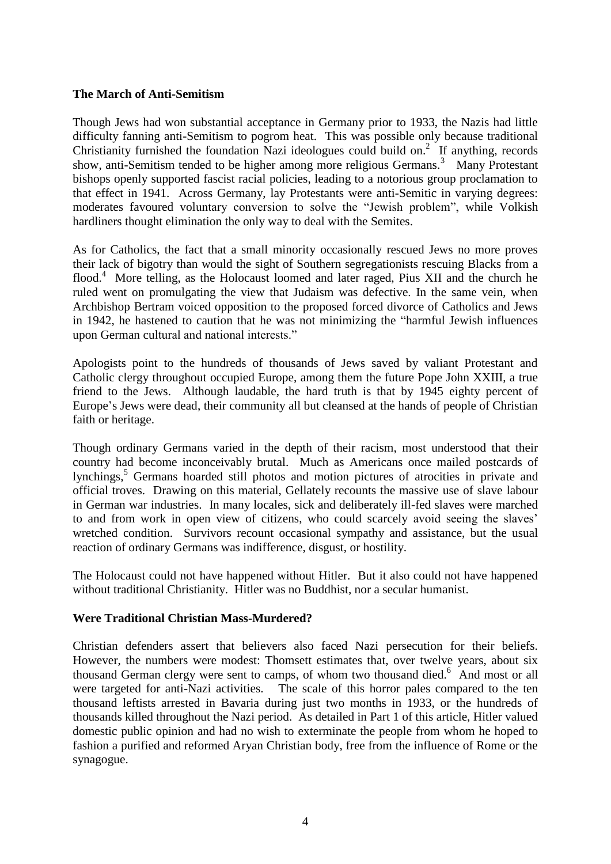#### **The March of Anti-Semitism**

Though Jews had won substantial acceptance in Germany prior to 1933, the Nazis had little difficulty fanning anti-Semitism to pogrom heat. This was possible only because traditional Christianity furnished the foundation Nazi ideologues could build on.<sup>2</sup> If anything, records show, anti-Semitism tended to be higher among more religious Germans.<sup>3</sup> Many Protestant bishops openly supported fascist racial policies, leading to a notorious group proclamation to that effect in 1941. Across Germany, lay Protestants were anti-Semitic in varying degrees: moderates favoured voluntary conversion to solve the "Jewish problem", while Volkish hardliners thought elimination the only way to deal with the Semites.

As for Catholics, the fact that a small minority occasionally rescued Jews no more proves their lack of bigotry than would the sight of Southern segregationists rescuing Blacks from a flood.<sup>4</sup> More telling, as the Holocaust loomed and later raged, Pius XII and the church he ruled went on promulgating the view that Judaism was defective. In the same vein, when Archbishop Bertram voiced opposition to the proposed forced divorce of Catholics and Jews in 1942, he hastened to caution that he was not minimizing the "harmful Jewish influences upon German cultural and national interests."

Apologists point to the hundreds of thousands of Jews saved by valiant Protestant and Catholic clergy throughout occupied Europe, among them the future Pope John XXIII, a true friend to the Jews. Although laudable, the hard truth is that by 1945 eighty percent of Europe's Jews were dead, their community all but cleansed at the hands of people of Christian faith or heritage.

Though ordinary Germans varied in the depth of their racism, most understood that their country had become inconceivably brutal. Much as Americans once mailed postcards of lynchings,<sup>5</sup> Germans hoarded still photos and motion pictures of atrocities in private and official troves. Drawing on this material, Gellately recounts the massive use of slave labour in German war industries. In many locales, sick and deliberately ill-fed slaves were marched to and from work in open view of citizens, who could scarcely avoid seeing the slaves' wretched condition. Survivors recount occasional sympathy and assistance, but the usual reaction of ordinary Germans was indifference, disgust, or hostility.

The Holocaust could not have happened without Hitler. But it also could not have happened without traditional Christianity. Hitler was no Buddhist, nor a secular humanist.

#### **Were Traditional Christian Mass-Murdered?**

Christian defenders assert that believers also faced Nazi persecution for their beliefs. However, the numbers were modest: Thomsett estimates that, over twelve years, about six thousand German clergy were sent to camps, of whom two thousand died.<sup>6</sup> And most or all were targeted for anti-Nazi activities. The scale of this horror pales compared to the ten thousand leftists arrested in Bavaria during just two months in 1933, or the hundreds of thousands killed throughout the Nazi period. As detailed in Part 1 of this article, Hitler valued domestic public opinion and had no wish to exterminate the people from whom he hoped to fashion a purified and reformed Aryan Christian body, free from the influence of Rome or the synagogue.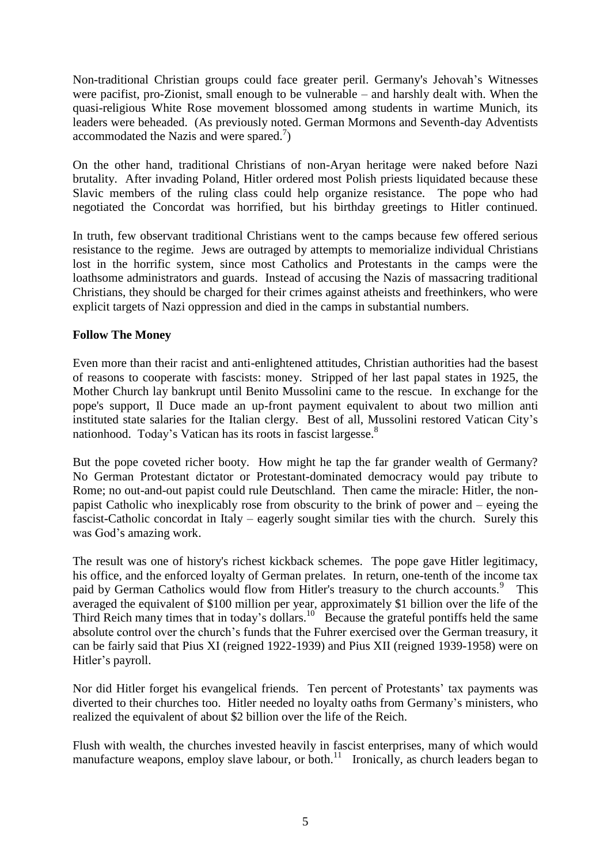Non-traditional Christian groups could face greater peril. Germany's Jehovah's Witnesses were pacifist, pro-Zionist, small enough to be vulnerable – and harshly dealt with. When the quasi-religious White Rose movement blossomed among students in wartime Munich, its leaders were beheaded. (As previously noted. German Mormons and Seventh-day Adventists accommodated the Nazis and were spared.<sup>7</sup>)

On the other hand, traditional Christians of non-Aryan heritage were naked before Nazi brutality. After invading Poland, Hitler ordered most Polish priests liquidated because these Slavic members of the ruling class could help organize resistance. The pope who had negotiated the Concordat was horrified, but his birthday greetings to Hitler continued.

In truth, few observant traditional Christians went to the camps because few offered serious resistance to the regime. Jews are outraged by attempts to memorialize individual Christians lost in the horrific system, since most Catholics and Protestants in the camps were the loathsome administrators and guards. Instead of accusing the Nazis of massacring traditional Christians, they should be charged for their crimes against atheists and freethinkers, who were explicit targets of Nazi oppression and died in the camps in substantial numbers.

# **Follow The Money**

Even more than their racist and anti-enlightened attitudes, Christian authorities had the basest of reasons to cooperate with fascists: money. Stripped of her last papal states in 1925, the Mother Church lay bankrupt until Benito Mussolini came to the rescue. In exchange for the pope's support, Il Duce made an up-front payment equivalent to about two million anti instituted state salaries for the Italian clergy. Best of all, Mussolini restored Vatican City's nationhood. Today's Vatican has its roots in fascist largesse.<sup>8</sup>

But the pope coveted richer booty. How might he tap the far grander wealth of Germany? No German Protestant dictator or Protestant-dominated democracy would pay tribute to Rome; no out-and-out papist could rule Deutschland. Then came the miracle: Hitler, the nonpapist Catholic who inexplicably rose from obscurity to the brink of power and – eyeing the fascist-Catholic concordat in Italy – eagerly sought similar ties with the church. Surely this was God's amazing work.

The result was one of history's richest kickback schemes. The pope gave Hitler legitimacy, his office, and the enforced loyalty of German prelates. In return, one-tenth of the income tax paid by German Catholics would flow from Hitler's treasury to the church accounts.<sup>9</sup> This averaged the equivalent of \$100 million per year, approximately \$1 billion over the life of the Third Reich many times that in today's dollars.<sup>10</sup> Because the grateful pontiffs held the same absolute control over the church's funds that the Fuhrer exercised over the German treasury, it can be fairly said that Pius XI (reigned 1922-1939) and Pius XII (reigned 1939-1958) were on Hitler's payroll.

Nor did Hitler forget his evangelical friends. Ten percent of Protestants' tax payments was diverted to their churches too. Hitler needed no loyalty oaths from Germany's ministers, who realized the equivalent of about \$2 billion over the life of the Reich.

Flush with wealth, the churches invested heavily in fascist enterprises, many of which would manufacture weapons, employ slave labour, or both. $11$  Ironically, as church leaders began to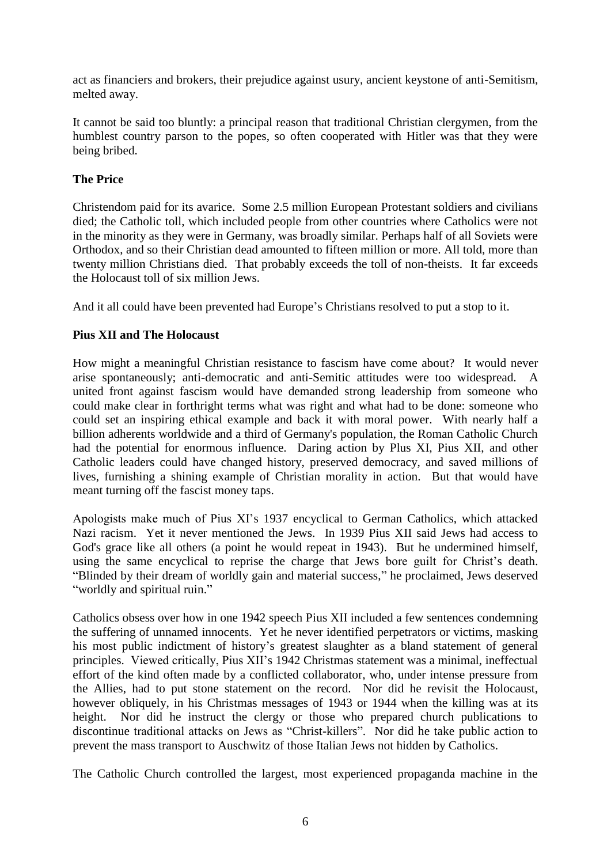act as financiers and brokers, their prejudice against usury, ancient keystone of anti-Semitism, melted away.

It cannot be said too bluntly: a principal reason that traditional Christian clergymen, from the humblest country parson to the popes, so often cooperated with Hitler was that they were being bribed.

# **The Price**

Christendom paid for its avarice. Some 2.5 million European Protestant soldiers and civilians died; the Catholic toll, which included people from other countries where Catholics were not in the minority as they were in Germany, was broadly similar. Perhaps half of all Soviets were Orthodox, and so their Christian dead amounted to fifteen million or more. All told, more than twenty million Christians died. That probably exceeds the toll of non-theists. It far exceeds the Holocaust toll of six million Jews.

And it all could have been prevented had Europe's Christians resolved to put a stop to it.

# **Pius XII and The Holocaust**

How might a meaningful Christian resistance to fascism have come about? It would never arise spontaneously; anti-democratic and anti-Semitic attitudes were too widespread. A united front against fascism would have demanded strong leadership from someone who could make clear in forthright terms what was right and what had to be done: someone who could set an inspiring ethical example and back it with moral power. With nearly half a billion adherents worldwide and a third of Germany's population, the Roman Catholic Church had the potential for enormous influence. Daring action by Plus XI, Pius XII, and other Catholic leaders could have changed history, preserved democracy, and saved millions of lives, furnishing a shining example of Christian morality in action. But that would have meant turning off the fascist money taps.

Apologists make much of Pius XI's 1937 encyclical to German Catholics, which attacked Nazi racism. Yet it never mentioned the Jews. In 1939 Pius XII said Jews had access to God's grace like all others (a point he would repeat in 1943). But he undermined himself, using the same encyclical to reprise the charge that Jews bore guilt for Christ's death. "Blinded by their dream of worldly gain and material success," he proclaimed, Jews deserved "worldly and spiritual ruin."

Catholics obsess over how in one 1942 speech Pius XII included a few sentences condemning the suffering of unnamed innocents. Yet he never identified perpetrators or victims, masking his most public indictment of history's greatest slaughter as a bland statement of general principles. Viewed critically, Pius XII's 1942 Christmas statement was a minimal, ineffectual effort of the kind often made by a conflicted collaborator, who, under intense pressure from the Allies, had to put stone statement on the record. Nor did he revisit the Holocaust, however obliquely, in his Christmas messages of 1943 or 1944 when the killing was at its height. Nor did he instruct the clergy or those who prepared church publications to discontinue traditional attacks on Jews as "Christ-killers". Nor did he take public action to prevent the mass transport to Auschwitz of those Italian Jews not hidden by Catholics.

The Catholic Church controlled the largest, most experienced propaganda machine in the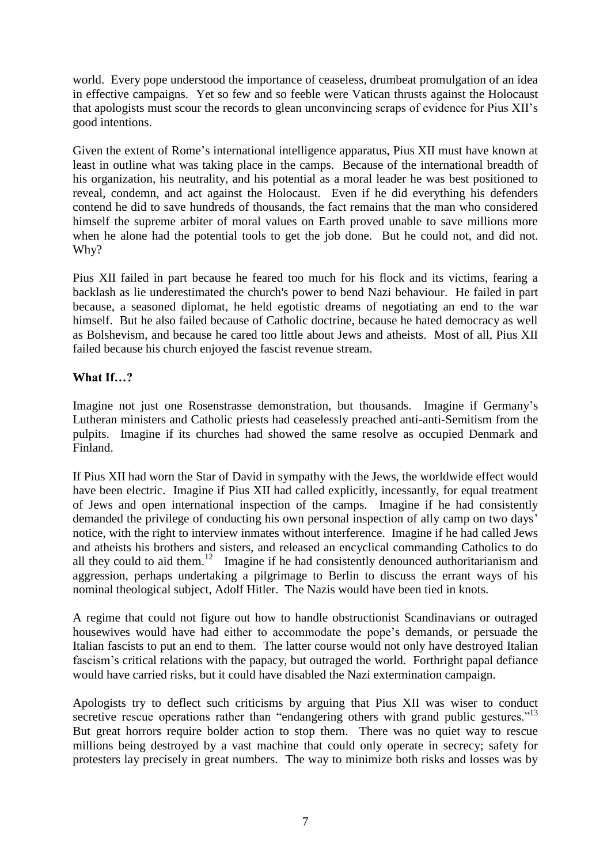world. Every pope understood the importance of ceaseless, drumbeat promulgation of an idea in effective campaigns. Yet so few and so feeble were Vatican thrusts against the Holocaust that apologists must scour the records to glean unconvincing scraps of evidence for Pius XII's good intentions.

Given the extent of Rome's international intelligence apparatus, Pius XII must have known at least in outline what was taking place in the camps. Because of the international breadth of his organization, his neutrality, and his potential as a moral leader he was best positioned to reveal, condemn, and act against the Holocaust. Even if he did everything his defenders contend he did to save hundreds of thousands, the fact remains that the man who considered himself the supreme arbiter of moral values on Earth proved unable to save millions more when he alone had the potential tools to get the job done. But he could not, and did not. Why?

Pius XII failed in part because he feared too much for his flock and its victims, fearing a backlash as lie underestimated the church's power to bend Nazi behaviour. He failed in part because, a seasoned diplomat, he held egotistic dreams of negotiating an end to the war himself. But he also failed because of Catholic doctrine, because he hated democracy as well as Bolshevism, and because he cared too little about Jews and atheists. Most of all, Pius XII failed because his church enjoyed the fascist revenue stream.

# **What If…?**

Imagine not just one Rosenstrasse demonstration, but thousands. Imagine if Germany's Lutheran ministers and Catholic priests had ceaselessly preached anti-anti-Semitism from the pulpits. Imagine if its churches had showed the same resolve as occupied Denmark and Finland.

If Pius XII had worn the Star of David in sympathy with the Jews, the worldwide effect would have been electric. Imagine if Pius XII had called explicitly, incessantly, for equal treatment of Jews and open international inspection of the camps. Imagine if he had consistently demanded the privilege of conducting his own personal inspection of ally camp on two days' notice, with the right to interview inmates without interference. Imagine if he had called Jews and atheists his brothers and sisters, and released an encyclical commanding Catholics to do all they could to aid them.<sup>12</sup> Imagine if he had consistently denounced authoritarianism and aggression, perhaps undertaking a pilgrimage to Berlin to discuss the errant ways of his nominal theological subject, Adolf Hitler. The Nazis would have been tied in knots.

A regime that could not figure out how to handle obstructionist Scandinavians or outraged housewives would have had either to accommodate the pope's demands, or persuade the Italian fascists to put an end to them. The latter course would not only have destroyed Italian fascism's critical relations with the papacy, but outraged the world. Forthright papal defiance would have carried risks, but it could have disabled the Nazi extermination campaign.

Apologists try to deflect such criticisms by arguing that Pius XII was wiser to conduct secretive rescue operations rather than "endangering others with grand public gestures."<sup>13</sup> But great horrors require bolder action to stop them. There was no quiet way to rescue millions being destroyed by a vast machine that could only operate in secrecy; safety for protesters lay precisely in great numbers. The way to minimize both risks and losses was by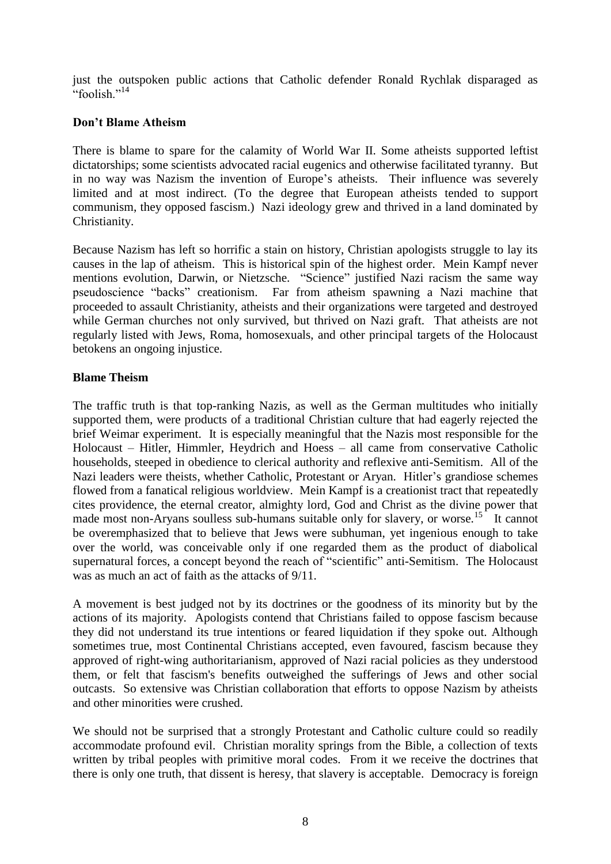just the outspoken public actions that Catholic defender Ronald Rychlak disparaged as "foolish" $^{14}$ 

### **Don't Blame Atheism**

There is blame to spare for the calamity of World War II. Some atheists supported leftist dictatorships; some scientists advocated racial eugenics and otherwise facilitated tyranny. But in no way was Nazism the invention of Europe's atheists. Their influence was severely limited and at most indirect. (To the degree that European atheists tended to support communism, they opposed fascism.) Nazi ideology grew and thrived in a land dominated by Christianity.

Because Nazism has left so horrific a stain on history, Christian apologists struggle to lay its causes in the lap of atheism. This is historical spin of the highest order. Mein Kampf never mentions evolution, Darwin, or Nietzsche. "Science" justified Nazi racism the same way pseudoscience "backs" creationism. Far from atheism spawning a Nazi machine that proceeded to assault Christianity, atheists and their organizations were targeted and destroyed while German churches not only survived, but thrived on Nazi graft. That atheists are not regularly listed with Jews, Roma, homosexuals, and other principal targets of the Holocaust betokens an ongoing injustice.

#### **Blame Theism**

The traffic truth is that top-ranking Nazis, as well as the German multitudes who initially supported them, were products of a traditional Christian culture that had eagerly rejected the brief Weimar experiment. It is especially meaningful that the Nazis most responsible for the Holocaust – Hitler, Himmler, Heydrich and Hoess – all came from conservative Catholic households, steeped in obedience to clerical authority and reflexive anti-Semitism. All of the Nazi leaders were theists, whether Catholic, Protestant or Aryan. Hitler's grandiose schemes flowed from a fanatical religious worldview. Mein Kampf is a creationist tract that repeatedly cites providence, the eternal creator, almighty lord, God and Christ as the divine power that made most non-Aryans soulless sub-humans suitable only for slavery, or worse.<sup>15</sup> It cannot be overemphasized that to believe that Jews were subhuman, yet ingenious enough to take over the world, was conceivable only if one regarded them as the product of diabolical supernatural forces, a concept beyond the reach of "scientific" anti-Semitism. The Holocaust was as much an act of faith as the attacks of 9/11.

A movement is best judged not by its doctrines or the goodness of its minority but by the actions of its majority. Apologists contend that Christians failed to oppose fascism because they did not understand its true intentions or feared liquidation if they spoke out. Although sometimes true, most Continental Christians accepted, even favoured, fascism because they approved of right-wing authoritarianism, approved of Nazi racial policies as they understood them, or felt that fascism's benefits outweighed the sufferings of Jews and other social outcasts. So extensive was Christian collaboration that efforts to oppose Nazism by atheists and other minorities were crushed.

We should not be surprised that a strongly Protestant and Catholic culture could so readily accommodate profound evil. Christian morality springs from the Bible, a collection of texts written by tribal peoples with primitive moral codes. From it we receive the doctrines that there is only one truth, that dissent is heresy, that slavery is acceptable. Democracy is foreign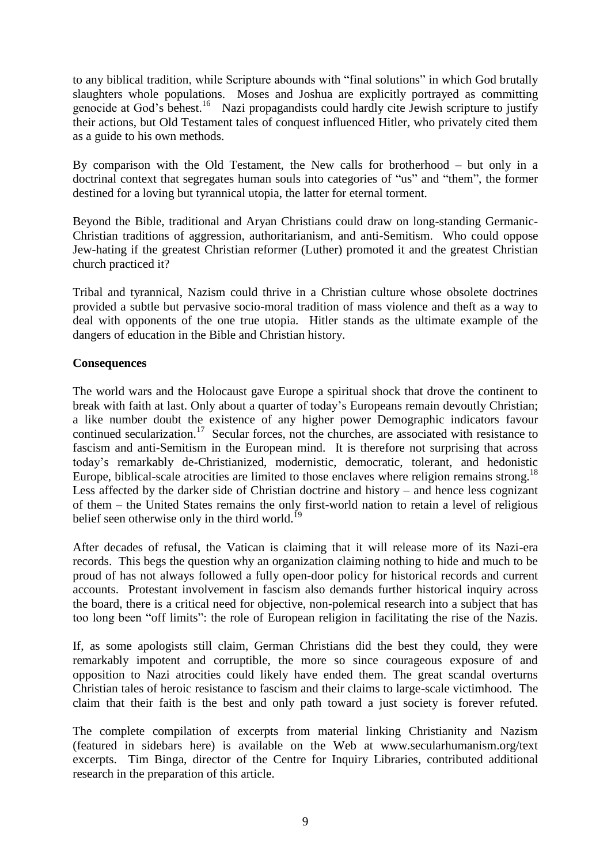to any biblical tradition, while Scripture abounds with "final solutions" in which God brutally slaughters whole populations. Moses and Joshua are explicitly portrayed as committing genocide at God's behest.<sup>16</sup> Nazi propagandists could hardly cite Jewish scripture to justify their actions, but Old Testament tales of conquest influenced Hitler, who privately cited them as a guide to his own methods.

By comparison with the Old Testament, the New calls for brotherhood – but only in a doctrinal context that segregates human souls into categories of "us" and "them", the former destined for a loving but tyrannical utopia, the latter for eternal torment.

Beyond the Bible, traditional and Aryan Christians could draw on long-standing Germanic-Christian traditions of aggression, authoritarianism, and anti-Semitism. Who could oppose Jew-hating if the greatest Christian reformer (Luther) promoted it and the greatest Christian church practiced it?

Tribal and tyrannical, Nazism could thrive in a Christian culture whose obsolete doctrines provided a subtle but pervasive socio-moral tradition of mass violence and theft as a way to deal with opponents of the one true utopia. Hitler stands as the ultimate example of the dangers of education in the Bible and Christian history.

# **Consequences**

The world wars and the Holocaust gave Europe a spiritual shock that drove the continent to break with faith at last. Only about a quarter of today's Europeans remain devoutly Christian; a like number doubt the existence of any higher power Demographic indicators favour continued secularization.<sup>17</sup> Secular forces, not the churches, are associated with resistance to fascism and anti-Semitism in the European mind. It is therefore not surprising that across today's remarkably de-Christianized, modernistic, democratic, tolerant, and hedonistic Europe, biblical-scale atrocities are limited to those enclaves where religion remains strong.<sup>18</sup> Less affected by the darker side of Christian doctrine and history – and hence less cognizant of them – the United States remains the only first-world nation to retain a level of religious belief seen otherwise only in the third world.<sup>19</sup>

After decades of refusal, the Vatican is claiming that it will release more of its Nazi-era records. This begs the question why an organization claiming nothing to hide and much to be proud of has not always followed a fully open-door policy for historical records and current accounts. Protestant involvement in fascism also demands further historical inquiry across the board, there is a critical need for objective, non-polemical research into a subject that has too long been "off limits": the role of European religion in facilitating the rise of the Nazis.

If, as some apologists still claim, German Christians did the best they could, they were remarkably impotent and corruptible, the more so since courageous exposure of and opposition to Nazi atrocities could likely have ended them. The great scandal overturns Christian tales of heroic resistance to fascism and their claims to large-scale victimhood. The claim that their faith is the best and only path toward a just society is forever refuted.

The complete compilation of excerpts from material linking Christianity and Nazism (featured in sidebars here) is available on the Web at www.secularhumanism.org/text excerpts. Tim Binga, director of the Centre for Inquiry Libraries, contributed additional research in the preparation of this article.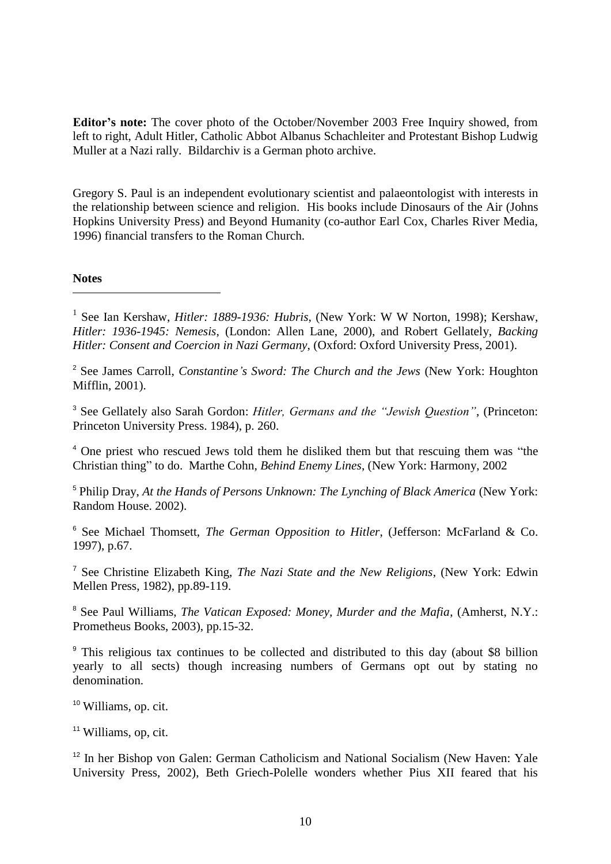**Editor's note:** The cover photo of the October/November 2003 Free Inquiry showed, from left to right, Adult Hitler, Catholic Abbot Albanus Schachleiter and Protestant Bishop Ludwig Muller at a Nazi rally. Bildarchiv is a German photo archive.

Gregory S. Paul is an independent evolutionary scientist and palaeontologist with interests in the relationship between science and religion. His books include Dinosaurs of the Air (Johns Hopkins University Press) and Beyond Humanity (co-author Earl Cox, Charles River Media, 1996) financial transfers to the Roman Church.

**Notes**

 $\overline{a}$ 

3 See Gellately also Sarah Gordon: *Hitler, Germans and the "Jewish Question"*, (Princeton: Princeton University Press. 1984), p. 260.

<sup>4</sup> One priest who rescued Jews told them he disliked them but that rescuing them was "the Christian thing" to do. Marthe Cohn, *Behind Enemy Lines*, (New York: Harmony, 2002

5 Philip Dray, *At the Hands of Persons Unknown: The Lynching of Black America* (New York: Random House. 2002).

<sup>6</sup> See Michael Thomsett, *The German Opposition to Hitler*, (Jefferson: McFarland & Co. 1997), p.67.

7 See Christine Elizabeth King, *The Nazi State and the New Religions*, (New York: Edwin Mellen Press, 1982), pp.89-119.

<sup>8</sup> See Paul Williams, *The Vatican Exposed: Money, Murder and the Mafia*, (Amherst, N.Y.: Prometheus Books, 2003), pp.15-32.

<sup>9</sup> This religious tax continues to be collected and distributed to this day (about \$8 billion yearly to all sects) though increasing numbers of Germans opt out by stating no denomination.

<sup>10</sup> Williams, op. cit.

<sup>11</sup> Williams, op, cit.

<sup>12</sup> In her Bishop von Galen: German Catholicism and National Socialism (New Haven: Yale University Press, 2002), Beth Griech-Polelle wonders whether Pius XII feared that his

<sup>&</sup>lt;sup>1</sup> See Ian Kershaw, *Hitler: 1889-1936: Hubris*, (New York: W W Norton, 1998); Kershaw, *Hitler: 1936-1945: Nemesis*, (London: Allen Lane, 2000), and Robert Gellately, *Backing Hitler: Consent and Coercion in Nazi Germany*, (Oxford: Oxford University Press, 2001).

<sup>2</sup> See James Carroll, *Constantine's Sword: The Church and the Jews* (New York: Houghton Mifflin, 2001).